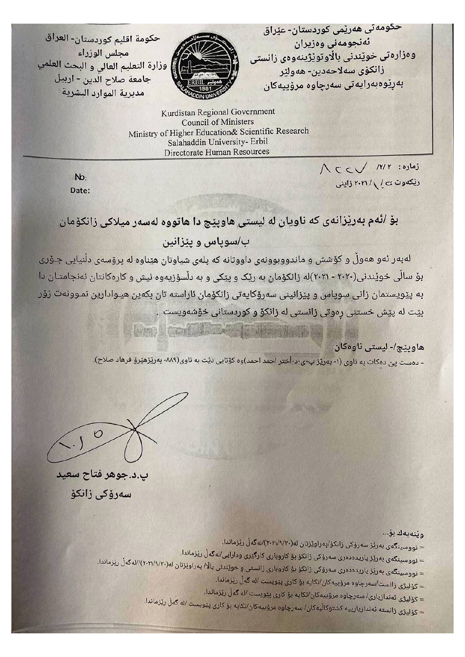حكومة اقليم كوردستان- العراق مجلس الوزراء وزارة التعليم العالى و البحث العلمي جامعة صلاح الدين - اربيل مديرية الموارد البشرية



حکومەتى ھەرێمى کوردستان- عێراق ئەنجومەنى وەزيران وەزارەتى خوێندنى بالاوتوێژينەوەى زانستى زانكۆي سەلاحەدين- ھەولٽر بەرێوەبەرايەتى سەرچاوە مرۆپيەكان

Kurdistan Regional Government **Council of Ministers** Ministry of Higher Education& Scientific Research Salahaddin University- Erbil Directorate Human Resources

> $\bigwedge C\subset\bigvee\quad\text{(Y)}\ Y\quad \text{(c)}$ ریکهوت ی / ۲۰۲۱ / زاینی

 $Nb$ : Date:

بۆ /ئەم بەرێزانەی کە ناويان لە لیستی ھاوپێچ دا ھاتووە لەسەر میلاکی زانکۆمان ب/سوپاس و پێزانین

لەبەر ئەو ھەوڵ و كۆشش و ماندووبوونەی داووتانە كە پلەی شياوتان ھێناوە لە پرۆسەی دڵنيايی جـۆری بۆ سالّى خوێندنى(٢٠٢٠ - ٢٠٢١)له زانكۆمان به رێک و پێکى و به دلّسۆزيەوه ئيش و کارەکانتان ئەنجامتـان دا به پیویستمان زانی سوپاس و پیزانینی سەرۆکایەتی زانکۆمان ئاراسته تان بکەین ھیـوادارین نمـوونەت زۆر بێت له پێش خستنی رەوتی زانستی له زانکۆ و کوردستانی خۆشەویست .

**ATTOR OF BUILDING** 

## هاوپٽج/- ليستي ناوهکان

- دەست پىّ دەكات بە ناوى (١- بەرێز پ٠ى٠د٠أختر احمد احمد)وە كۆتايى دێت بە ناوى(٨٨٩- بەرێزھێرۆ فرھاد صلاح).

 $.50$ 

پ.د.جوهر فتاح سعید سەرۆكى زانكۆ

## ويْنەيەك بۆ...

- = نووسینگەی بەرێز سەرۆکی زانکۆ/پەراوێزتان لە(٢٠٢١/٩/٢٠)/لەگەل رێزماندا.
- = نووسینگەی بەرێز یاریدەدەری سەرۆکی زانکۆ بۆ کاروباری کارگیری ودارایی/لەگەل رێزماندا.
- = نووسینگەی بەریز یاریدەدەری سەرۆکی زانکۆ بۆ کاروباری زانستی و خویندنی بالا/ پەراویزتان لە(٢٠٢١/٩/٢٠)/الەگەل ریزماندا.
	- = كۆلىژى زانست/سەرچاوە مرۆييەكان/تكايە بۆ كارى پێويست /لە گەل رێزماندا.
	- = كۆليژى ئەندازيارى/ سەرچاوە مرۆييەكان/تكايە بۆ كارى پێويست /لە گەل رێزماندا.
	- = كۆليژى زانستە ئەندازيارييە كشتوكاليەكان/ سەرچاوە مرۆپيەكان/تكايە بۆ كارى پيويست /لە گەل ريزماندا.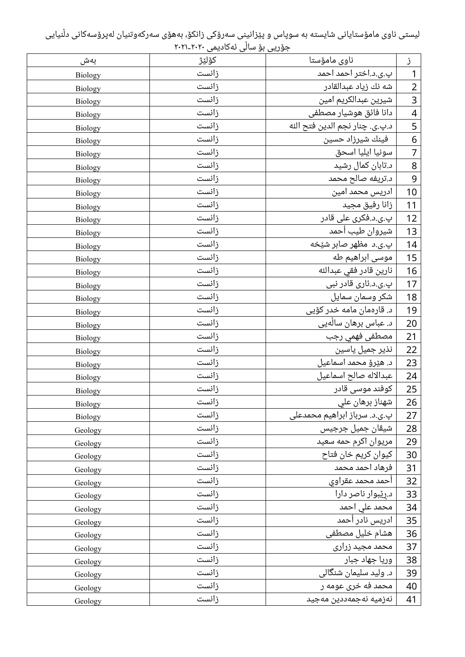لیستی ناوی مامۆستایانی شایسته به سوپاس و پێزانینی سەرۆکی زانکۆ، بەھۆی سەرکەوتنیان لەپرۆسەکانی دڵنیایی ۔<br>جۆریی بۆ ساڵی ئەکادیمی ۲۰۲۰-۲۰۲۱

| بەش            | كۆلێژ | ناوى مامۆستا                   | j                        |
|----------------|-------|--------------------------------|--------------------------|
| <b>Biology</b> | زانست | پ.ی.د.اختر احمد احمد           | $\mathbf{1}$             |
| <b>Biology</b> | زانست | شه نك زياد عبدالقادر           | $\overline{2}$           |
| <b>Biology</b> | زانست | شيرين عبدالكريم امين           | $\overline{3}$           |
| <b>Biology</b> | زانست | دانا فائق هوشيار مصطفى         | $\overline{\mathcal{A}}$ |
| <b>Biology</b> | زانست | د.پ.ی. چنار نجم الدین فتح الله | $\overline{\mathbf{5}}$  |
| <b>Biology</b> | زانست | فینك شیرزاد حسین               | $\overline{6}$           |
| Biology        | زانست | سونيا ايليا اسحق               | $\overline{7}$           |
| <b>Biology</b> | زانست | د.تابان کمال رشید              | 8                        |
| <b>Biology</b> | زانست | د.تریفه صالح محمد              | $\overline{9}$           |
| Biology        | زانست | ادریس محمد امین                | 10                       |
| Biology        | زانست | زانا رفيق مجيد                 | 11                       |
| Biology        | زانست | پ.ی.د.فکری علی قادر            | 12                       |
| <b>Biology</b> | زانست | شيروان طيب أحمد                | 13                       |
| Biology        | زانست | پ.ی.د مظهر صابر شێخه           | 14                       |
| Biology        | زانست | موسی ابراهیم طه                | 15                       |
| <b>Biology</b> | زانست | نارين قادر فقى عبدالله         | 16                       |
| Biology        | زانست | پ.ی.د.ئاری قادر نبی            | 17                       |
| <b>Biology</b> | زانست | شکر وسمان سمایل                | 18                       |
| <b>Biology</b> | زانست | د. قارەمان مامە خدر كۆيى       | 19                       |
| Biology        | زانست | د. عباس برهان سالْهیی          | 20                       |
| Biology        | زانست | مصطفى فهمي رجب                 | 21                       |
| Biology        | زانست | نذیر جمیل یاسین                | 22                       |
| Biology        | زانست | د. هێرۆ محمد اسماعیل           | 23                       |
| <b>Biology</b> | زانست | عبدالاله صالح اسماعيل          | 24                       |
| Biology        | زانست | کوفند موسی قادر                | 25                       |
| Biology        | زانست | شهناز برهان علي                | 26                       |
| Biology        | زانست | پ.ی.د. سرباز ابراهیم محمدعلی   | 27                       |
| Geology        | زانست | شیڤان جمیل جرجیس               | 28                       |
| Geology        | زانست | مریوان اکرم حمه سعید           | 29                       |
| Geology        | زانست | كيوان كريم خان فتاح            | 30                       |
| Geology        | زانست | فرهاد احمد محمد                | 31                       |
| Geology        | زانست | أحمد محمد عقراوى               | 32                       |
| Geology        | زانست | د.رِیْبوار ناصر دارا           | 33                       |
| Geology        | زانست | محمد علی احمد                  | 34                       |
| Geology        | زانست | ادریس نادر أحمد                | 35                       |
| Geology        | زانست | هشام خلیل مصطفی                | 36                       |
| Geology        | زانست | محمد مجید زراری                | 37                       |
| Geology        | زانست | وریا جهاد جبار                 | 38                       |
| Geology        | زانست | د. ولید سلیمان شنگالی          | 39                       |
| Geology        | زانست | محمد فه خری عومه ر             | 40                       |
| Geology        | زانست | نەزميە نەجمەددين مەجيد         | 41                       |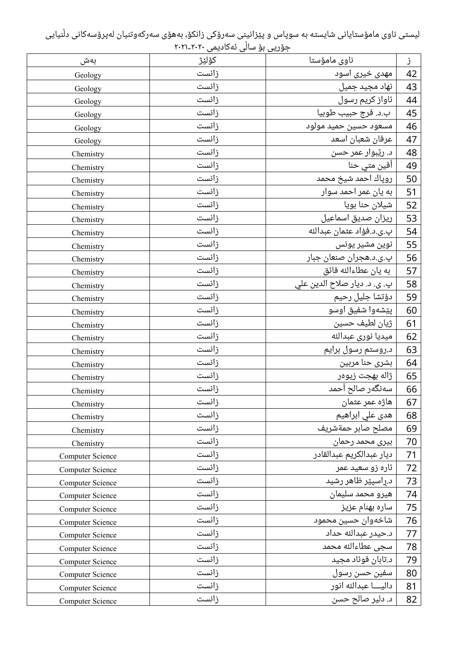لیستی ناوی مامۆستایانی شایسته به سوپاس و پێزانینی سەرۆکی زانکۆ، بەھۆی سەرکەوتنیان لەپرۆسەکانی دڵنیایی ۔<br>جۆریی بۆ ساڵی ئەکادیمی ۲۰۲۰-۲۰۲۱

| بەش                     | كۆلێژ | ناوی مامۆستا                 | ز  |
|-------------------------|-------|------------------------------|----|
| Geology                 | زانست | مهدی خیری اسود               | 42 |
| Geology                 | زانست | نهاد مجید جمیل               | 43 |
| Geology                 | زانست | ئاواز کريم رسول              | 44 |
| Geology                 | زانست | ب.د. فرج حبيب طوبيا          | 45 |
| Geology                 | زانست | مسعود حسین حمید مولود        | 46 |
| Geology                 | زانست | عرفان شعبان اسعد             | 47 |
| Chemistry               | زانست | د. رێبوار عمر حسن            | 48 |
| Chemistry               | زانست | آفین متی حنا                 | 49 |
| Chemistry               | زانست | روپاك احمد شيخ محمد          | 50 |
| Chemistry               | زانست | به یان عمر احمد سوار         | 51 |
| Chemistry               | زانست | شيلان حنا بويا               | 52 |
| Chemistry               | زانست | ریزان صدیق اسماعیل           | 53 |
| Chemistry               | زانست | پ.ي.د.فؤاد عثمان عبدالله     | 54 |
| Chemistry               | زانست | نوین مشیر یونس               | 55 |
| Chemistry               | زانست | پ.ی.د.هجران صنعان جبار       | 56 |
| Chemistry               | زانست | به يان عطاءالله فائق         | 57 |
| Chemistry               | زانست | پ. ی. د. دیار صلاح الدین علي | 58 |
| Chemistry               | زانست | دۆتشا جليل رحيم              | 59 |
| Chemistry               | زانست | پێشەوا شفیق اوسو             | 60 |
| Chemistry               | زانست | ژیان لطیف حسین               | 61 |
| Chemistry               | زانست | ميديا نورى عبدالله           | 62 |
| Chemistry               | زانست | د.روستم رسول برایم           | 63 |
| Chemistry               | زانست | بشرى حنا مربين               | 64 |
| Chemistry               | زانست | ژاله بهجت زیوەر              | 65 |
| Chemistry               | زانست | سەنگەر صالح أحمد             | 66 |
| Chemistry               | زانست | هاژه عمر عثمان               | 67 |
| Chemistry               | زانست | هدی علي ابراهيم              | 68 |
| Chemistry               | زانست | مصلح صابر حمةشريف            | 69 |
| Chemistry               | زانست | بيرى محمد رحمان              | 70 |
| <b>Computer Science</b> | زانست | ديار عبدالكريم عبدالقادر     | 71 |
| Computer Science        | زانست | ئارہ زو سعید عمر             | 72 |
| <b>Computer Science</b> | زانست | د راسپێر ظاهر رشید           | 73 |
| Computer Science        | زانست | هيرو محمد سليمان             | 74 |
| Computer Science        | زانست | ساره بهنام عزيز              | 75 |
| Computer Science        | زانست | شاخهوان حسين محمود           | 76 |
| Computer Science        | زانست | د.حيدر عبدالله حداد          | 77 |
| <b>Computer Science</b> | زانست | سجى عطاءالله محمد            | 78 |
| Computer Science        | زانست | د.تابان فوئاد مجيد           | 79 |
| Computer Science        | زانست | سفين حسن رسول                | 80 |
| Computer Science        | زانست | داليــــا عبدالله انور       | 81 |
| Computer Science        | زانست | د. دلير صالح حسن             | 82 |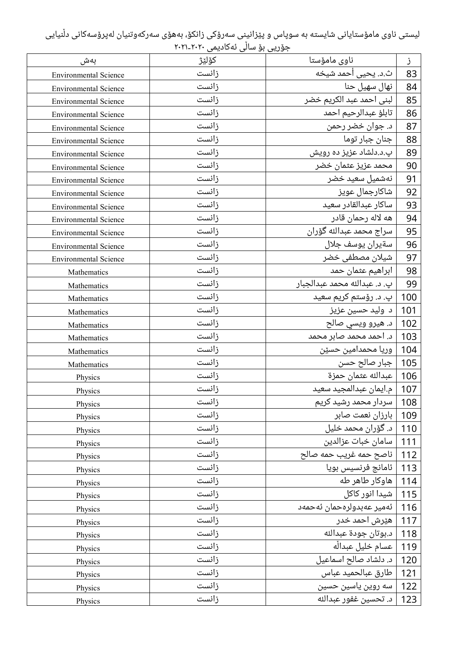لیستی ناوی مامۆستایانی شایسته به سوپاس و پێزانینی سەرۆکی زانکۆ، بەھۆی سەرکەوتنیان لەپرۆسەکانی دڵنیایی ۔<br>جۆریی بۆ ساڵی ئەکادیمی ۲۰۲۰-۲۰۲۱

| بەش                          | كۆلێژ | ناوی مامۆستا                 | ز   |
|------------------------------|-------|------------------------------|-----|
| <b>Environmental Science</b> | زانست | ث.د. یحیی أحمد شیخه          | 83  |
| <b>Environmental Science</b> | زانست | نهال سهيل حنا                | 84  |
| <b>Environmental Science</b> | زانست | لبنی احمد عبد الکریم خضر     | 85  |
| <b>Environmental Science</b> | زانست | تابلؤ عبدالرحيم احمد         | 86  |
| <b>Environmental Science</b> | زانست | د. جوان خضر رحمن             | 87  |
| <b>Environmental Science</b> | زانست | جنان جبار توما               | 88  |
| <b>Environmental Science</b> | زانست | پ.د.دلشاد عزیز ده رویش       | 89  |
| <b>Environmental Science</b> | زانست | محمد عزیز عثمان خضر          | 90  |
| <b>Environmental Science</b> | زانست | نەشمیل سعید خضر              | 91  |
| <b>Environmental Science</b> | زانست | شاکارجمال عویز               | 92  |
| <b>Environmental Science</b> | زانست | ساكار عبدالقادر سعيد         | 93  |
| <b>Environmental Science</b> | زانست | هه لاله رحمان قادر           | 94  |
| <b>Environmental Science</b> | زانست | سراج محمد عبدالله گۆران      | 95  |
| <b>Environmental Science</b> | زانست | سةيران يوسف جلال             | 96  |
| <b>Environmental Science</b> | زانست | شيلان مصطفى خضر              | 97  |
| Mathematics                  | زانست | ابراهيم عثمان حمد            | 98  |
| Mathematics                  | زانست | پ. د. عبدالله محمد عبدالجبار | 99  |
| Mathematics                  | زانست | پ. د. رۆستم کريم سعيد        | 100 |
| Mathematics                  | زانست | د وليد حسين عزيز             | 101 |
| Mathematics                  | زانست | د. هيرو ويسي صالح            | 102 |
| Mathematics                  | زانست | د. احمد محمد صابر محمد       | 103 |
| Mathematics                  | زانست | وريا محمدامين حسێن           | 104 |
| Mathematics                  | زانست | جبار صالح حسن                | 105 |
| Physics                      | زانست | عبدالله عثمان حمزة           | 106 |
| Physics                      | زانست | م.ایمان عبدالمجید سعید       | 107 |
| Physics                      | زانست | سردار محمد رشید کریم         | 108 |
| Physics                      | زانست | بارزان نعمت صابر             | 109 |
| Physics                      | زانست | د. گۆران محمد خليل           | 110 |
| Physics                      | زانست | سامان خبات عزالدين           | 111 |
| Physics                      | زانست | ناصح حمه غريب حمه صالح       | 112 |
| Physics                      | زانست | ئامانج فرنسيس بويا           | 113 |
| Physics                      | زانست | هاوکار طاهر طه               | 114 |
| Physics                      | زانست | شیدا انور کاکل               | 115 |
| Physics                      | زانست | ئەمير عەبدولرەحمان ئەحمەد    | 116 |
| Physics                      | زانست | هێرش احمد خدر                | 117 |
| Physics                      | زانست | د.بوتان جودة عبدالله         | 118 |
| Physics                      | زانست | عسام خليل عبداله             | 119 |
| Physics                      | زانست | د. دلشاد صالح اسماعیل        | 120 |
| Physics                      | زانست | طارق عبالحميد عباس           | 121 |
| Physics                      | زانست | سه روین یاسین حسین           | 122 |
| Physics                      | زانست | د. تحسين غفور عبدالله        | 123 |